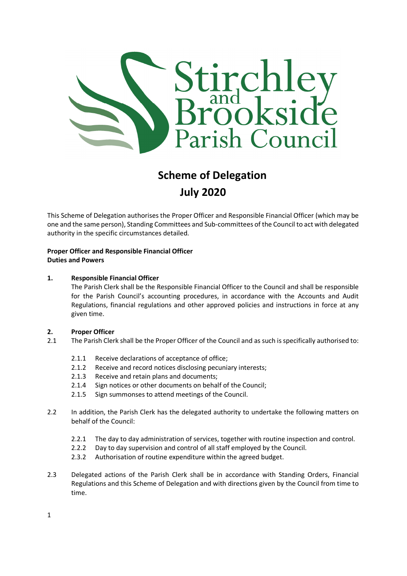

# Scheme of Delegation July 2020

This Scheme of Delegation authorises the Proper Officer and Responsible Financial Officer (which may be one and the same person), Standing Committees and Sub-committees of the Council to act with delegated authority in the specific circumstances detailed.

# Proper Officer and Responsible Financial Officer Duties and Powers

#### 1. Responsible Financial Officer

The Parish Clerk shall be the Responsible Financial Officer to the Council and shall be responsible for the Parish Council's accounting procedures, in accordance with the Accounts and Audit Regulations, financial regulations and other approved policies and instructions in force at any given time.

#### 2. Proper Officer

- 2.1 The Parish Clerk shall be the Proper Officer of the Council and as such is specifically authorised to:
	- 2.1.1 Receive declarations of acceptance of office;
	- 2.1.2 Receive and record notices disclosing pecuniary interests;
	- 2.1.3 Receive and retain plans and documents;
	- 2.1.4 Sign notices or other documents on behalf of the Council;
	- 2.1.5 Sign summonses to attend meetings of the Council.
- 2.2 In addition, the Parish Clerk has the delegated authority to undertake the following matters on behalf of the Council:
	- 2.2.1 The day to day administration of services, together with routine inspection and control.
	- 2.2.2 Day to day supervision and control of all staff employed by the Council.
	- 2.3.2 Authorisation of routine expenditure within the agreed budget.
- 2.3 Delegated actions of the Parish Clerk shall be in accordance with Standing Orders, Financial Regulations and this Scheme of Delegation and with directions given by the Council from time to time.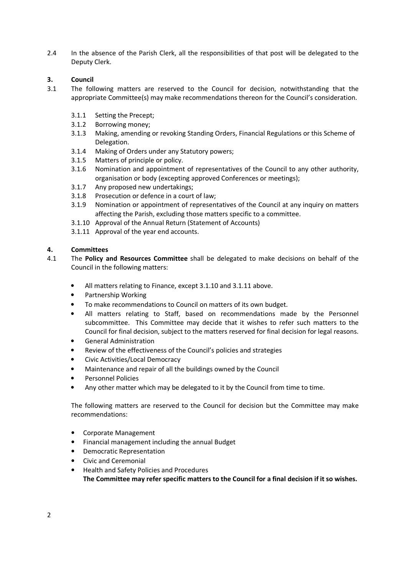2.4 In the absence of the Parish Clerk, all the responsibilities of that post will be delegated to the Deputy Clerk.

# 3. Council

- 3.1 The following matters are reserved to the Council for decision, notwithstanding that the appropriate Committee(s) may make recommendations thereon for the Council's consideration.
	- 3.1.1 Setting the Precept;
	- 3.1.2 Borrowing money;
	- 3.1.3 Making, amending or revoking Standing Orders, Financial Regulations or this Scheme of Delegation.
	- 3.1.4 Making of Orders under any Statutory powers;
	- 3.1.5 Matters of principle or policy.
	- 3.1.6 Nomination and appointment of representatives of the Council to any other authority, organisation or body (excepting approved Conferences or meetings);
	- 3.1.7 Any proposed new undertakings;
	- 3.1.8 Prosecution or defence in a court of law;
	- 3.1.9 Nomination or appointment of representatives of the Council at any inquiry on matters affecting the Parish, excluding those matters specific to a committee.
	- 3.1.10 Approval of the Annual Return (Statement of Accounts)
	- 3.1.11 Approval of the year end accounts.

# 4. Committees

- 4.1 The Policy and Resources Committee shall be delegated to make decisions on behalf of the Council in the following matters:
	- All matters relating to Finance, except 3.1.10 and 3.1.11 above.
	- Partnership Working
	- To make recommendations to Council on matters of its own budget.
	- All matters relating to Staff, based on recommendations made by the Personnel subcommittee. This Committee may decide that it wishes to refer such matters to the Council for final decision, subject to the matters reserved for final decision for legal reasons.
	- General Administration
	- Review of the effectiveness of the Council's policies and strategies
	- Civic Activities/Local Democracy
	- Maintenance and repair of all the buildings owned by the Council
	- Personnel Policies
	- Any other matter which may be delegated to it by the Council from time to time.

The following matters are reserved to the Council for decision but the Committee may make recommendations:

- Corporate Management
- Financial management including the annual Budget
- Democratic Representation
- Civic and Ceremonial
- Health and Safety Policies and Procedures The Committee may refer specific matters to the Council for a final decision if it so wishes.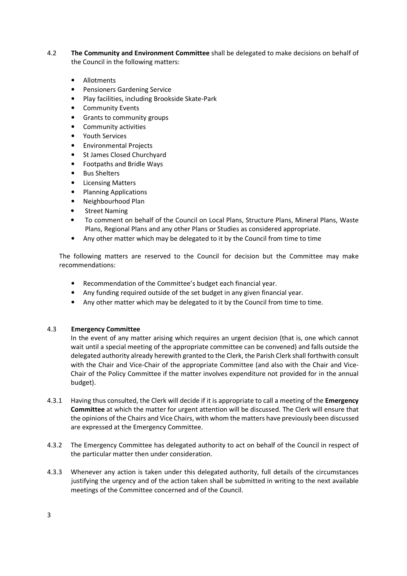- 4.2 The Community and Environment Committee shall be delegated to make decisions on behalf of the Council in the following matters:
	- Allotments
	- Pensioners Gardening Service
	- Play facilities, including Brookside Skate-Park
	- Community Events
	- Grants to community groups
	- Community activities
	- Youth Services
	- Environmental Projects
	- St James Closed Churchyard
	- Footpaths and Bridle Ways
	- Bus Shelters
	- **Licensing Matters**
	- Planning Applications
	- Neighbourhood Plan
	- **Street Naming**
	- To comment on behalf of the Council on Local Plans, Structure Plans, Mineral Plans, Waste Plans, Regional Plans and any other Plans or Studies as considered appropriate.
	- Any other matter which may be delegated to it by the Council from time to time

The following matters are reserved to the Council for decision but the Committee may make recommendations:

- Recommendation of the Committee's budget each financial year.
- Any funding required outside of the set budget in any given financial year.
- Any other matter which may be delegated to it by the Council from time to time.

#### 4.3 Emergency Committee

In the event of any matter arising which requires an urgent decision (that is, one which cannot wait until a special meeting of the appropriate committee can be convened) and falls outside the delegated authority already herewith granted to the Clerk, the Parish Clerk shall forthwith consult with the Chair and Vice-Chair of the appropriate Committee (and also with the Chair and Vice-Chair of the Policy Committee if the matter involves expenditure not provided for in the annual budget).

- 4.3.1 Having thus consulted, the Clerk will decide if it is appropriate to call a meeting of the **Emergency** Committee at which the matter for urgent attention will be discussed. The Clerk will ensure that the opinions of the Chairs and Vice Chairs, with whom the matters have previously been discussed are expressed at the Emergency Committee.
- 4.3.2 The Emergency Committee has delegated authority to act on behalf of the Council in respect of the particular matter then under consideration.
- 4.3.3 Whenever any action is taken under this delegated authority, full details of the circumstances justifying the urgency and of the action taken shall be submitted in writing to the next available meetings of the Committee concerned and of the Council.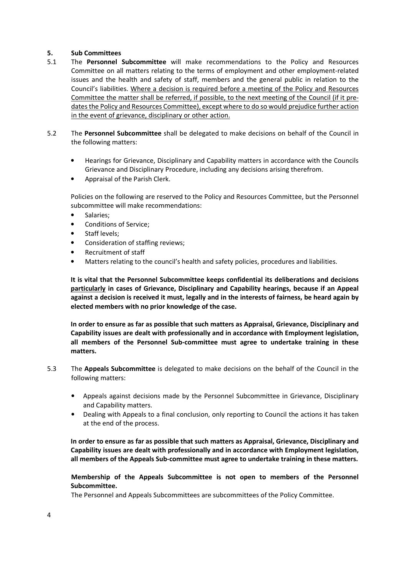#### 5. Sub Committees

- 5.1 The Personnel Subcommittee will make recommendations to the Policy and Resources Committee on all matters relating to the terms of employment and other employment-related issues and the health and safety of staff, members and the general public in relation to the Council's liabilities. Where a decision is required before a meeting of the Policy and Resources Committee the matter shall be referred, if possible, to the next meeting of the Council (if it predates the Policy and Resources Committee), except where to do so would prejudice further action in the event of grievance, disciplinary or other action.
- 5.2 The Personnel Subcommittee shall be delegated to make decisions on behalf of the Council in the following matters:
	- Hearings for Grievance, Disciplinary and Capability matters in accordance with the Councils Grievance and Disciplinary Procedure, including any decisions arising therefrom.
	- Appraisal of the Parish Clerk.

 Policies on the following are reserved to the Policy and Resources Committee, but the Personnel subcommittee will make recommendations:

- Salaries:
- Conditions of Service;
- Staff levels;
- Consideration of staffing reviews;
- Recruitment of staff
- Matters relating to the council's health and safety policies, procedures and liabilities.

 It is vital that the Personnel Subcommittee keeps confidential its deliberations and decisions particularly in cases of Grievance, Disciplinary and Capability hearings, because if an Appeal against a decision is received it must, legally and in the interests of fairness, be heard again by elected members with no prior knowledge of the case.

 In order to ensure as far as possible that such matters as Appraisal, Grievance, Disciplinary and Capability issues are dealt with professionally and in accordance with Employment legislation, all members of the Personnel Sub-committee must agree to undertake training in these matters.

- 5.3 The Appeals Subcommittee is delegated to make decisions on the behalf of the Council in the following matters:
	- Appeals against decisions made by the Personnel Subcommittee in Grievance, Disciplinary and Capability matters.
	- Dealing with Appeals to a final conclusion, only reporting to Council the actions it has taken at the end of the process.

In order to ensure as far as possible that such matters as Appraisal, Grievance, Disciplinary and Capability issues are dealt with professionally and in accordance with Employment legislation, all members of the Appeals Sub-committee must agree to undertake training in these matters.

#### Membership of the Appeals Subcommittee is not open to members of the Personnel Subcommittee.

The Personnel and Appeals Subcommittees are subcommittees of the Policy Committee.